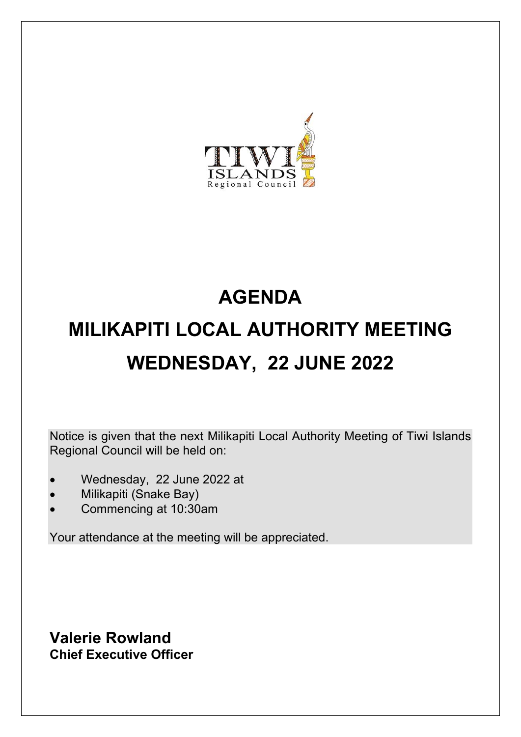

# **AGENDA MILIKAPITI LOCAL AUTHORITY MEETING WEDNESDAY, 22 JUNE 2022**

Notice is given that the next Milikapiti Local Authority Meeting of Tiwi Islands Regional Council will be held on:

- Wednesday, 22 June 2022 at
- Milikapiti (Snake Bay)
- Commencing at 10:30am

Your attendance at the meeting will be appreciated.

**Valerie Rowland Chief Executive Officer**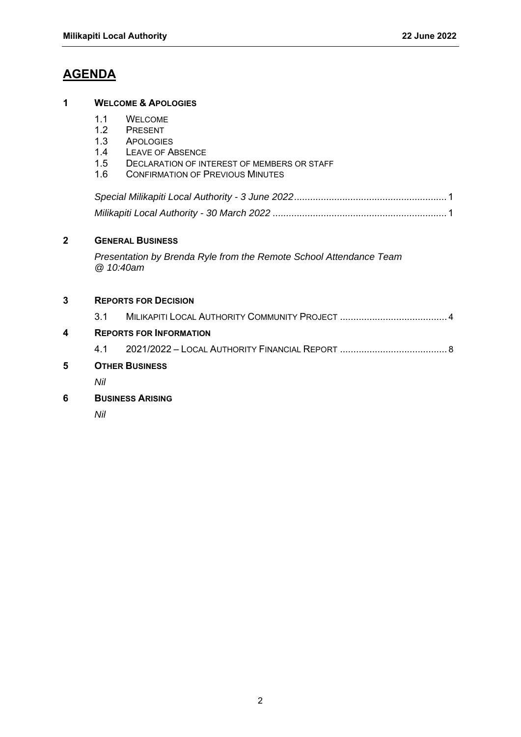### **AGENDA**

#### **1 WELCOME & APOLOGIES**

- 1.1 WELCOME<br>1.2 PRESENT
- 1.2 PRESENT<br>1.3 APOLOGIE
- 1.3 APOLOGIES<br>1.4 LEAVE OF A
- 1.4 LEAVE OF ABSENCE<br>1.5 DECLARATION OF IN
- DECLARATION OF INTEREST OF MEMBERS OR STAFF
- 1.6 CONFIRMATION OF PREVIOUS MINUTES

*Special Milikapiti Local Authority - 3 June 2022 .........................................................* 1 *Milikapiti Local Authority - 30 March 2022 .................................................................* 1

#### **2 GENERAL BUSINESS**

*Presentation by Brenda Ryle from the Remote School Attendance Team @ 10:40am* 

#### **3 REPORTS FOR DECISION**

| 5 | <b>OTHER BUSINESS</b>          |  |
|---|--------------------------------|--|
|   |                                |  |
| 4 | <b>REPORTS FOR INFORMATION</b> |  |
|   |                                |  |

*Nil* 

**6 BUSINESS ARISING**

*Nil*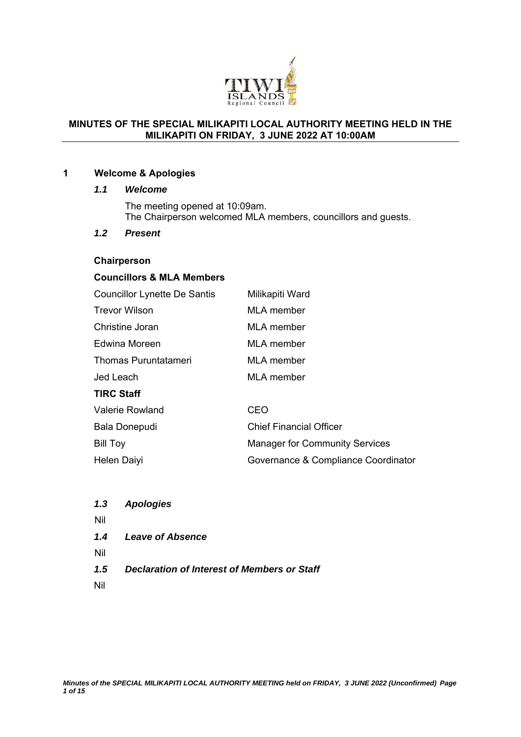

#### **MINUTES OF THE SPECIAL MILIKAPITI LOCAL AUTHORITY MEETING HELD IN THE MILIKAPITI ON FRIDAY, 3 JUNE 2022 AT 10:00AM**

#### **1 Welcome & Apologies**

#### *1.1 Welcome*

The meeting opened at 10:09am. The Chairperson welcomed MLA members, councillors and guests.

#### *1.2 Present*

#### **Chairperson**

#### **Councillors & MLA Members**

| <b>Councillor Lynette De Santis</b> | Milikapiti Ward                       |
|-------------------------------------|---------------------------------------|
| <b>Trevor Wilson</b>                | <b>MLA</b> member                     |
| Christine Joran                     | <b>MLA</b> member                     |
| Edwina Moreen                       | MLA member                            |
| <b>Thomas Puruntatameri</b>         | MLA member                            |
| Jed Leach                           | <b>MLA</b> member                     |
| <b>TIRC Staff</b>                   |                                       |
| <b>Valerie Rowland</b>              | CEO                                   |
| Bala Donepudi                       | <b>Chief Financial Officer</b>        |
| <b>Bill Toy</b>                     | <b>Manager for Community Services</b> |
| Helen Daiyi                         | Governance & Compliance Coordinator   |

| 1.3 | <b>Apologies</b>                            |
|-----|---------------------------------------------|
| Nil |                                             |
| 1.4 | <b>Leave of Absence</b>                     |
| Nil |                                             |
| 1.5 | Declaration of Interest of Members or Staff |
| Nil |                                             |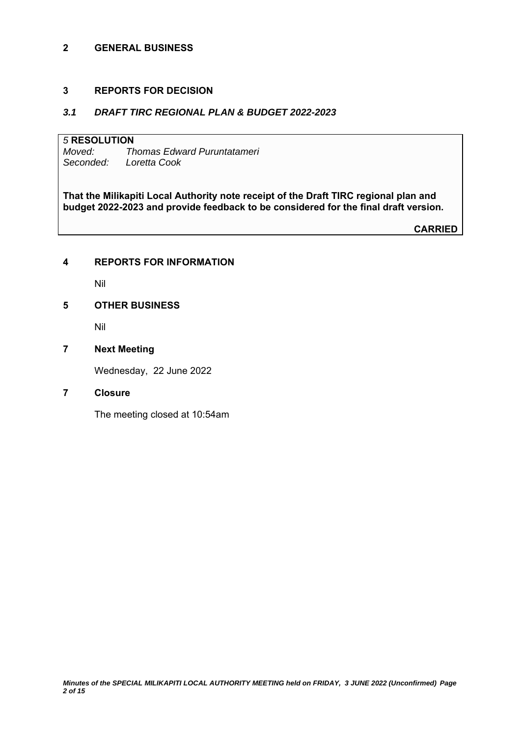#### **2 GENERAL BUSINESS**

#### **3 REPORTS FOR DECISION**

#### *3.1 DRAFT TIRC REGIONAL PLAN & BUDGET 2022-2023*

# *5* **RESOLUTION**

*Moved: Thomas Edward Puruntatameri Seconded: Loretta Cook* 

**That the Milikapiti Local Authority note receipt of the Draft TIRC regional plan and budget 2022-2023 and provide feedback to be considered for the final draft version.**

**CARRIED**

#### **4 REPORTS FOR INFORMATION**

Nil

#### **5 OTHER BUSINESS**

Nil

#### **7 Next Meeting**

Wednesday, 22 June 2022

#### **7 Closure**

The meeting closed at 10:54am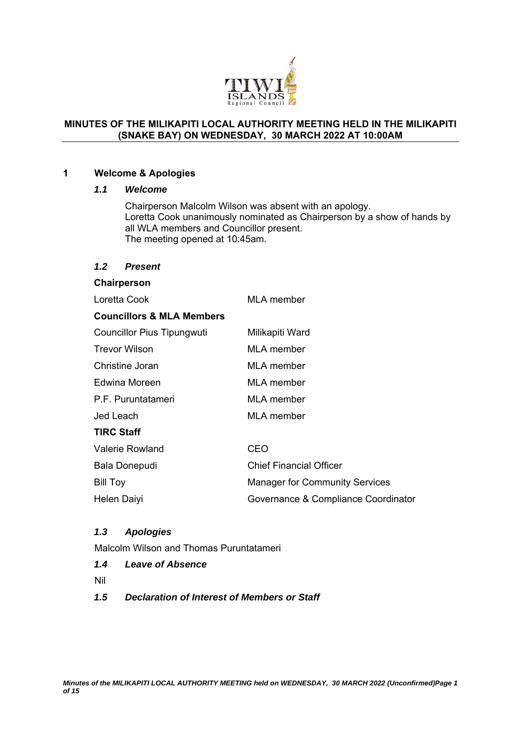

#### **MINUTES OF THE MILIKAPITI LOCAL AUTHORITY MEETING HELD IN THE MILIKAPITI (SNAKE BAY) ON WEDNESDAY, 30 MARCH 2022 AT 10:00AM**

#### **1 Welcome & Apologies**

#### *1.1 Welcome*

Chairperson Malcolm Wilson was absent with an apology. Loretta Cook unanimously nominated as Chairperson by a show of hands by all WLA members and Councillor present. The meeting opened at 10:45am.

#### *1.2 Present*

## **Chairperson**  Loretta Cook MLA member **Councillors & MLA Members**  Councillor Pius Tipungwuti Milikapiti Ward Trevor Wilson MLA member Christine Joran MLA member Edwina Moreen MLA member P.F. Puruntatameri MI A member Jed Leach MLA member **TIRC Staff**  Valerie Rowland CEO Bala Donepudi Chief Financial Officer Bill Toy **Manager for Community Services** Helen Daiyi Governance & Compliance Coordinator

#### *1.3 Apologies*

Malcolm Wilson and Thomas Puruntatameri

- *1.4 Leave of Absence*
- Nil
- *1.5 Declaration of Interest of Members or Staff*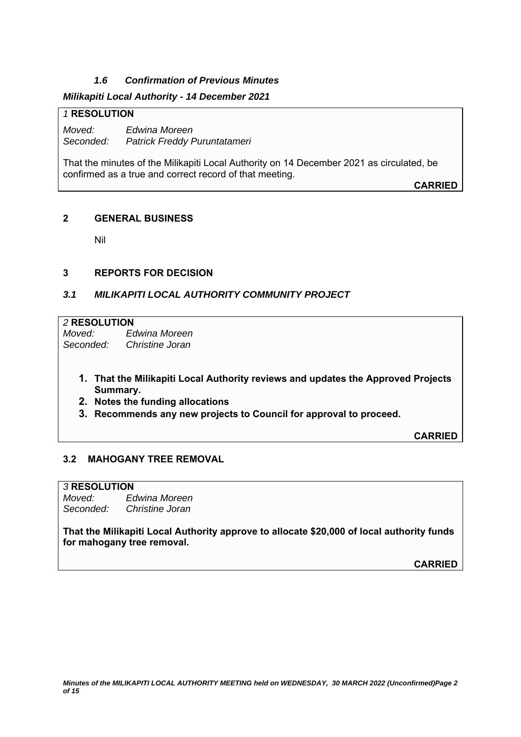#### *1.6 Confirmation of Previous Minutes*

#### *Milikapiti Local Authority - 14 December 2021*

#### *1* **RESOLUTION**

*Moved: Edwina Moreen Seconded: Patrick Freddy Puruntatameri* 

That the minutes of the Milikapiti Local Authority on 14 December 2021 as circulated, be confirmed as a true and correct record of that meeting.

**CARRIED**

#### **2 GENERAL BUSINESS**

Nil

#### **3 REPORTS FOR DECISION**

#### *3.1 MILIKAPITI LOCAL AUTHORITY COMMUNITY PROJECT*

# *2* **RESOLUTION**

*Moved: Edwina Moreen Seconded: Christine Joran* 

- **1. That the Milikapiti Local Authority reviews and updates the Approved Projects Summary.**
- **2. Notes the funding allocations**
- **3. Recommends any new projects to Council for approval to proceed.**

**CARRIED**

#### **3.2 MAHOGANY TREE REMOVAL**

#### *3* **RESOLUTION**

*Moved: Edwina Moreen Seconded: Christine Joran* 

**That the Milikapiti Local Authority approve to allocate \$20,000 of local authority funds for mahogany tree removal.** 

**CARRIED**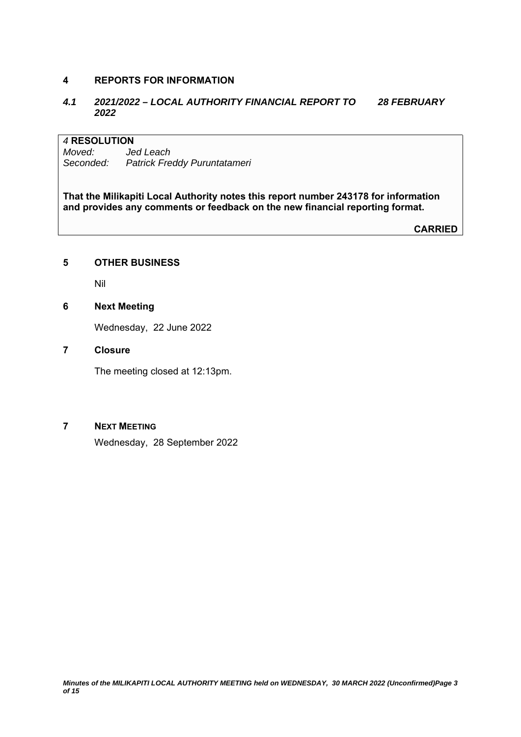#### **4 REPORTS FOR INFORMATION**

#### *4.1 2021/2022 – LOCAL AUTHORITY FINANCIAL REPORT TO 28 FEBRUARY 2022*

#### *4* **RESOLUTION**

*Moved: Jed Leach Seconded: Patrick Freddy Puruntatameri* 

**That the Milikapiti Local Authority notes this report number 243178 for information and provides any comments or feedback on the new financial reporting format.**

**CARRIED**

#### **5 OTHER BUSINESS**

Nil

#### **6 Next Meeting**

Wednesday, 22 June 2022

#### **7 Closure**

The meeting closed at 12:13pm.

#### **7 NEXT MEETING**

Wednesday, 28 September 2022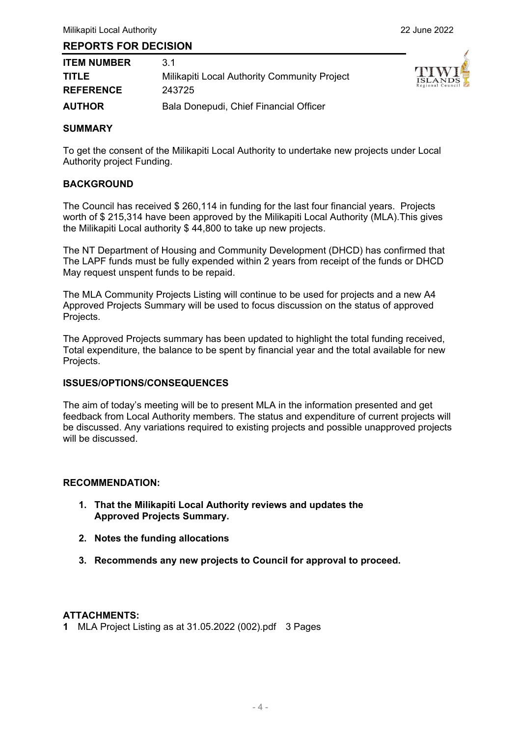#### **REPORTS FOR DECISION**

| <b>ITEM NUMBER</b> | 3 1                                          |
|--------------------|----------------------------------------------|
| <b>TITLE</b>       | Milikapiti Local Authority Community Project |
| <b>REFERENCE</b>   | 243725                                       |
| <b>AUTHOR</b>      | Bala Donepudi, Chief Financial Officer       |



#### **SUMMARY**

To get the consent of the Milikapiti Local Authority to undertake new projects under Local Authority project Funding.

#### **BACKGROUND**

The Council has received \$ 260,114 in funding for the last four financial years. Projects worth of \$ 215,314 have been approved by the Milikapiti Local Authority (MLA).This gives the Milikapiti Local authority \$ 44,800 to take up new projects.

The NT Department of Housing and Community Development (DHCD) has confirmed that The LAPF funds must be fully expended within 2 years from receipt of the funds or DHCD May request unspent funds to be repaid.

The MLA Community Projects Listing will continue to be used for projects and a new A4 Approved Projects Summary will be used to focus discussion on the status of approved Projects.

The Approved Projects summary has been updated to highlight the total funding received, Total expenditure, the balance to be spent by financial year and the total available for new Projects.

#### **ISSUES/OPTIONS/CONSEQUENCES**

The aim of today's meeting will be to present MLA in the information presented and get feedback from Local Authority members. The status and expenditure of current projects will be discussed. Any variations required to existing projects and possible unapproved projects will be discussed.

#### **RECOMMENDATION:**

- **1. That the Milikapiti Local Authority reviews and updates the Approved Projects Summary.**
- **2. Notes the funding allocations**
- **3. Recommends any new projects to Council for approval to proceed.**

#### **ATTACHMENTS:**

**1** MLA Project Listing as at 31.05.2022 (002).pdf 3 Pages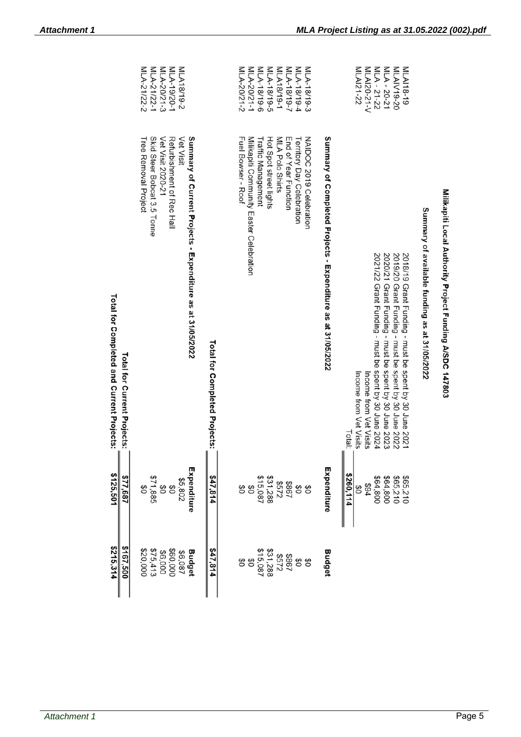|                                                                          | MLA-21/22-1<br>MLA-21/22-2<br>MLA-20/21-3<br>MLA-19/20-1<br>MLA18/19-2                                                                                                                  |                               | MLA-20/21-2<br>MLA-20/21-1<br>8-61/81-V7IW<br>MLA-18/19-5<br>NLA18/19-1<br>MLA-18/19-7<br>MLA-18/19-4<br>MLA-18/19-3                                                                                                    | MLAI21-22<br>MLAI20-21-V<br>MLA-21-22<br>MLA - 20-21<br>MLAIV19-20<br>MLAI18-19                                                                                                                                                                                                                                                                                                                                 |
|--------------------------------------------------------------------------|-----------------------------------------------------------------------------------------------------------------------------------------------------------------------------------------|-------------------------------|-------------------------------------------------------------------------------------------------------------------------------------------------------------------------------------------------------------------------|-----------------------------------------------------------------------------------------------------------------------------------------------------------------------------------------------------------------------------------------------------------------------------------------------------------------------------------------------------------------------------------------------------------------|
| Total for Completed and Current Projects:<br>Total for Current Projects: | Summary of Current Projects - Expenditure as at 31/05/2022<br><b>Vet Visit</b><br>Skid Steer Bobcat 3.5 Tonne<br>Vet Visit 2020-21<br>Refurbishment of Kec Hall<br>Tree Removal Project | Total for Completed Projects: | NAIDOC 2019 Celebration<br><b>Fuel Boxser - Root</b><br>Milikapiti Community Easter Celebration<br>Hot Spot street lights<br>MLA Polo Shirts<br>End of Year Function<br>Territory Day Celebration<br>Traffic Management | Summary of Completed Projects - Expenditure as at 31/05/2022<br>Summary of available funding as at 31/05/2022<br>2020/21 Grant Funding - must be spent by 30 June 2023<br>2019/20 Grant Funding - must be spent by 30 June 2022<br>2018/19 Grant Funding - must be spent by 30 June 2021<br>2021/22 Grant Funding - must be spent by 30 June 2024<br>Income from Vet Visits<br>Income from Vet Visits<br>Total: |
| \$125,501<br>\$77,687                                                    | Expenditure<br><b>\$71,885</b><br>\$71,885<br>\$5,802<br>8<br>8<br>0                                                                                                                    | 547,814                       | \$867<br>\$572<br>\$31,288<br>\$15,087<br>88<br>\$O<br>SO                                                                                                                                                               | Expenditure<br>\$260,114<br>\$64,800<br>\$65,210<br>\$65,210<br>\$64,800<br>168<br>ဗိ                                                                                                                                                                                                                                                                                                                           |
| \$215,314<br>\$167,500                                                   | \$75,413<br>\$20,000<br>\$60,000<br>Budget<br>\$6,000<br>\$6,087                                                                                                                        | 47,814                        | \$867<br>\$51,288<br>\$31,288<br>\$15,087<br>$\frac{6}{5}$<br>80<br>$\mathfrak{G}$<br>$\frac{6}{3}$                                                                                                                     | Budget                                                                                                                                                                                                                                                                                                                                                                                                          |

Milikapiti Local Authority Project Funding A/SDC 147803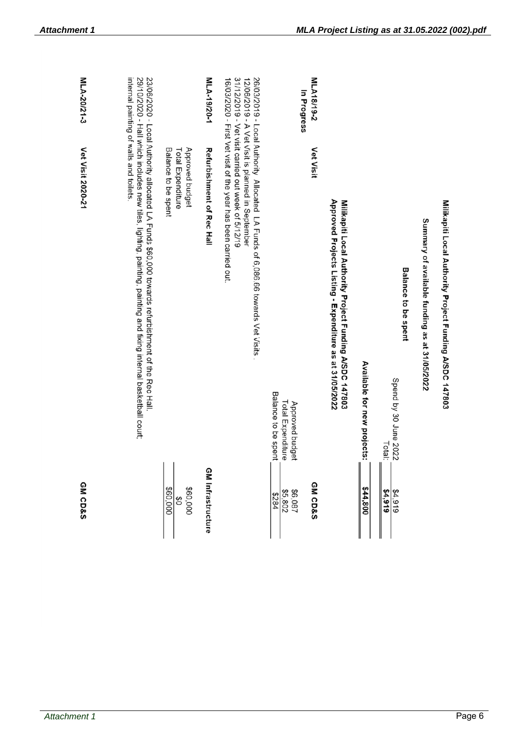| MLA-20/21-3        |                                                                                                                                                                                                                                                             |                                                             | MLA-19/20-1               |                                                                                                                                                                                                                                                            | In Progress                                                 | MLA18/19-2         |                                                                                                                     |                             |                                                               |                                               |                                                         |
|--------------------|-------------------------------------------------------------------------------------------------------------------------------------------------------------------------------------------------------------------------------------------------------------|-------------------------------------------------------------|---------------------------|------------------------------------------------------------------------------------------------------------------------------------------------------------------------------------------------------------------------------------------------------------|-------------------------------------------------------------|--------------------|---------------------------------------------------------------------------------------------------------------------|-----------------------------|---------------------------------------------------------------|-----------------------------------------------|---------------------------------------------------------|
| Vet Visit 2020-21  | internal painting of walls and toilets.<br>29/10/2020 - Hall which includes new tiles, lighting, painting, painting and fixing internal basketball court;<br>23/06/2020 - Local Authority allocated LA Funds \$60,000 towards refurbishment of the Rec Hall | Balance to be spent<br>Approved budget<br>Total Expenditure | Refurbishment of Rec Hall | 31/12/2019 - Vet visit carried out week of 5/12/19<br>12/06/2019 - A Vet Visit is planned in September<br>26/03/2019 - Local Authority Allocated LA Funds of 6,086.66 towards Vet Visits<br>16/03/2020 - First Vet visit of the year has been carried out. | Balance to be spent<br>Total Expenditure<br>Approved budget | <b>Vet Visit</b>   | Approved Projects Listing - Expenditure as at 31/05/2022<br>Milikapiti Local Authority Project Funding A/SDC 147803 | Available for new projects: | <b>Balance to be spent</b><br>Spend by 30 June 2022<br>Total: | Summary of available funding as at 31/05/2022 | Milikapiti Local Authority Project Funding A/SDC 147803 |
| <b>GM CD&amp;S</b> |                                                                                                                                                                                                                                                             | \$60,000<br>\$60,000<br>$\frac{6}{3}$                       | <b>GM Infrastructure</b>  |                                                                                                                                                                                                                                                            | \$6,087<br>\$5,802<br>18284                                 | <b>GM CD&amp;S</b> |                                                                                                                     | \$44,800                    | \$4,919<br>84,919                                             |                                               |                                                         |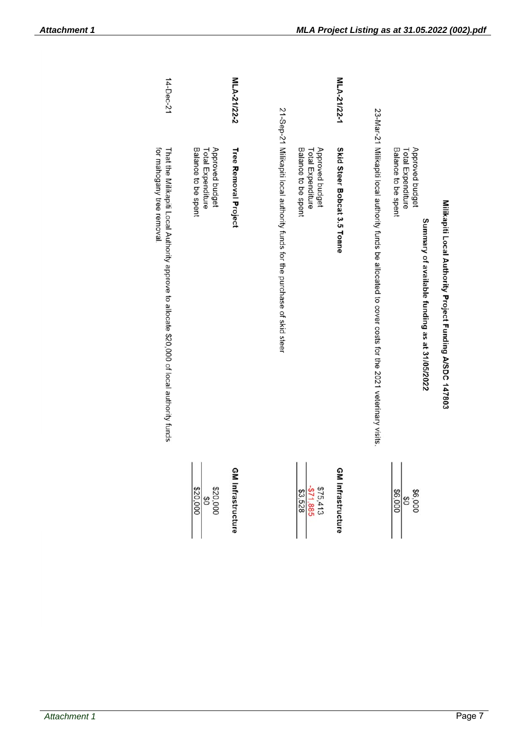| 14-Dec-21                                                                                                               |                                                             | MLA-21/22-2              |                                                                           |                                                             | MLA-21/22-1                 |                                                                                                                                                                                                                                |                                                                                                              |                                                         |
|-------------------------------------------------------------------------------------------------------------------------|-------------------------------------------------------------|--------------------------|---------------------------------------------------------------------------|-------------------------------------------------------------|-----------------------------|--------------------------------------------------------------------------------------------------------------------------------------------------------------------------------------------------------------------------------|--------------------------------------------------------------------------------------------------------------|---------------------------------------------------------|
| for mahogany tree removal.<br>That the Milikapiti Local Authority approve to allocate \$20,000 of local authority funds | Approved budget<br>Balance to be spent<br>Total Expenditure | Tree Removal Project     | 21-Sep-21 Milikapiti local authority funds for the purchase of skid steer | Approved budget<br>Balance to be spent<br>Total Expenditure | Skid Steer Bobcat 3.5 Tonne | 23-Marc 1 Mairrenium (2021 100 2010) 100 2010 1000 10 and along to code along the strip in the strip of the strip of the SOS 100 m of the strip of the SOS 100 m of the strip of the SOS 100 m of the SOS 100 m of the SOS 100 | Approved budget<br>Balance to be spent<br>Total Expenditure<br>Summary of available funding as at 31/05/2022 | Milikapiti Local Authority Project Funding A/SDC 147803 |
|                                                                                                                         | 820,000<br>820,000                                          | <b>GM Infrastructure</b> |                                                                           | $\frac{$75,413}{$3,528}$                                    | <b>GM Infrastructure</b>    |                                                                                                                                                                                                                                | \$6,000<br>86,000                                                                                            |                                                         |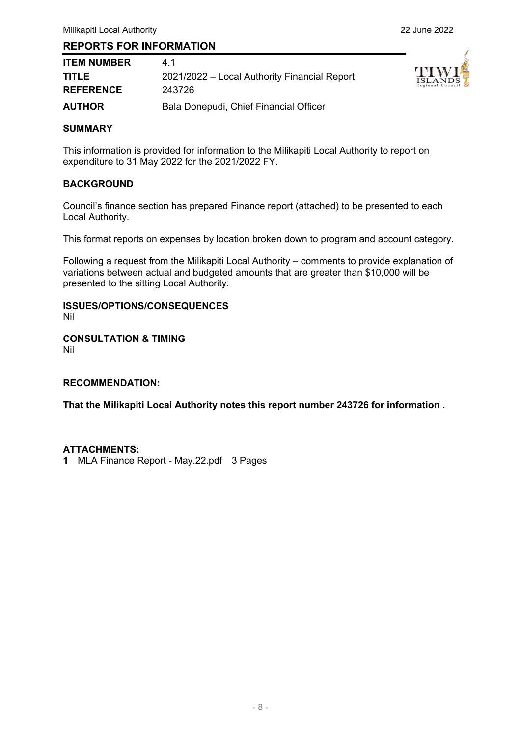#### **REPORTS FOR INFORMATION**

| <b>ITEM NUMBER</b> | 41                                           |
|--------------------|----------------------------------------------|
| <b>TITLE</b>       | 2021/2022 - Local Authority Financial Report |
| <b>REFERENCE</b>   | 243726                                       |
| <b>AUTHOR</b>      | Bala Donepudi, Chief Financial Officer       |



#### **SUMMARY**

This information is provided for information to the Milikapiti Local Authority to report on expenditure to 31 May 2022 for the 2021/2022 FY.

#### **BACKGROUND**

Council's finance section has prepared Finance report (attached) to be presented to each Local Authority.

This format reports on expenses by location broken down to program and account category.

Following a request from the Milikapiti Local Authority – comments to provide explanation of variations between actual and budgeted amounts that are greater than \$10,000 will be presented to the sitting Local Authority.

### **ISSUES/OPTIONS/CONSEQUENCES**

Nil

#### **CONSULTATION & TIMING**  Nil

#### **RECOMMENDATION:**

**That the Milikapiti Local Authority notes this report number 243726 for information .** 

#### **ATTACHMENTS:**

**1** MLA Finance Report - May.22.pdf 3 Pages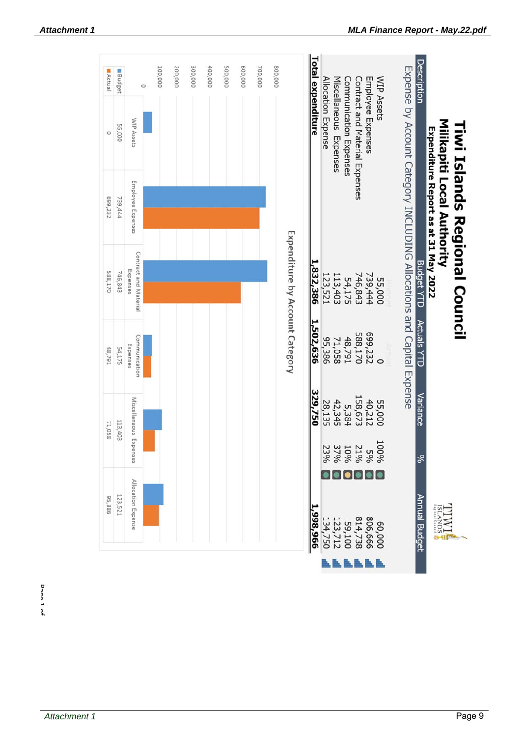| Actual  | Budget  |                                   | $\circ$ | 100,000 | 200,000 | 300,000 | 400,000 | 500,000 | 600,000 | 700,000 | 800,000                         | <b>Total expenditure</b> | Allocation Expense |                        |                        |                                | <b>WIP Assets</b><br>Employee Expenses |                                                                       | Description        |                                                                   |                                      |
|---------|---------|-----------------------------------|---------|---------|---------|---------|---------|---------|---------|---------|---------------------------------|--------------------------|--------------------|------------------------|------------------------|--------------------------------|----------------------------------------|-----------------------------------------------------------------------|--------------------|-------------------------------------------------------------------|--------------------------------------|
| $\circ$ | 55,000  | WIP Assets                        |         |         |         |         |         |         |         |         |                                 |                          |                    | Miscellaneous Expenses | Communication Expenses | Contract and Material Expenses |                                        |                                                                       |                    |                                                                   |                                      |
| 699,232 | 739,444 | Employee Expenses                 |         |         |         |         |         |         |         |         |                                 |                          |                    |                        |                        |                                |                                        |                                                                       |                    | Milkapiti Local Authority<br>Expenditure Report as at 31 May 2022 |                                      |
| 588,170 | 746,843 | Contract and Material<br>Expenses |         |         |         |         |         |         |         |         | Expenditure by Account Category | 1,832,386                | 123,521            | 113,403                | 54,175                 | 739, 444<br>746,843            | 55,000                                 | Expense by Account Category INCLUDING Allocations and Capital Expense | <b>Budget YTD</b>  |                                                                   | <b>Tiwi Islands Regional Council</b> |
| 48,791  | 54,175  | Communication<br>Expenses         |         |         |         |         |         |         |         |         |                                 | 1,502,636                | 95,386             | 71,058                 | 48,791                 | 588,170                        | 699,232                                |                                                                       | <b>Actuals YTD</b> |                                                                   |                                      |
| 71,058  | 113,403 | Miscellaneous Expenses            |         |         |         |         |         |         |         |         |                                 | 329,750                  | 28,135             | 42,345                 | 5,384                  | 158,673                        | 40,212<br>55,000                       |                                                                       | Variance           |                                                                   |                                      |
|         |         |                                   |         |         |         |         |         |         |         |         |                                 |                          | 23%                |                        |                        |                                | 100%<br>59%<br>21%<br>37%<br>37%       |                                                                       | ೫                  |                                                                   |                                      |
| 95,386  | 123,521 | Allocation Expense                |         |         |         |         |         |         |         |         |                                 | 996'866'                 | 134,750            | 123,712                | 59,100                 | 806,666<br>814,738             | 000'09                                 |                                                                       | Annual Budget      | ANNS<br>$\frac{1}{\sqrt{25}}$                                     |                                      |
|         |         |                                   |         |         |         |         |         |         |         |         |                                 |                          |                    |                        |                        |                                |                                        |                                                                       |                    |                                                                   |                                      |

Dann 1 of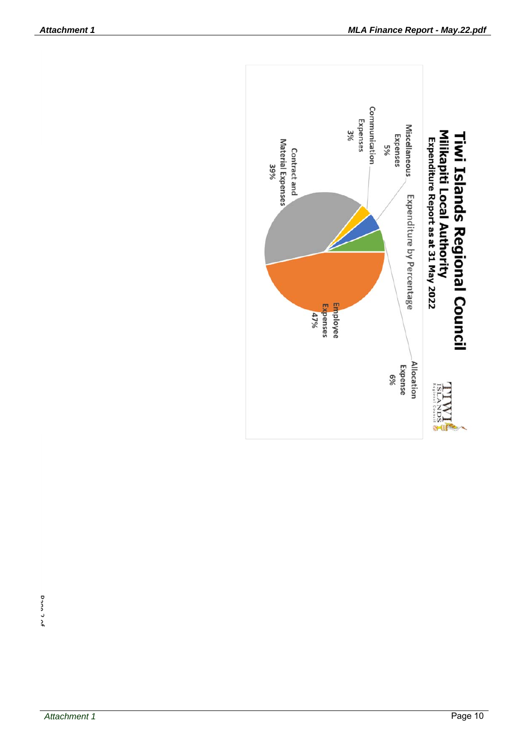